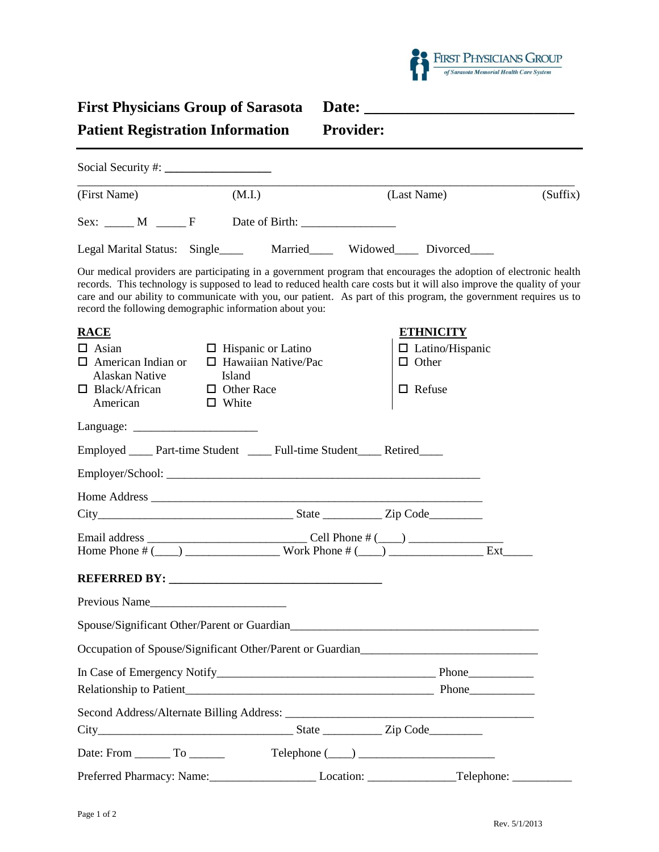

| <b>First Physicians Group of Sarasota</b>                                                                                                                                                                                                                                                                                                                                                                                   |  |                                                                         | Date:                                                                       |             |          |  |  |  |
|-----------------------------------------------------------------------------------------------------------------------------------------------------------------------------------------------------------------------------------------------------------------------------------------------------------------------------------------------------------------------------------------------------------------------------|--|-------------------------------------------------------------------------|-----------------------------------------------------------------------------|-------------|----------|--|--|--|
| <b>Patient Registration Information</b>                                                                                                                                                                                                                                                                                                                                                                                     |  |                                                                         | <b>Provider:</b>                                                            |             |          |  |  |  |
|                                                                                                                                                                                                                                                                                                                                                                                                                             |  |                                                                         |                                                                             |             |          |  |  |  |
| the control of the control of the control of<br>(First Name)                                                                                                                                                                                                                                                                                                                                                                |  | <u> 1980 - Johann Barn, mars an t-Amerikaansk politiker (</u><br>(M.I.) |                                                                             | (Last Name) | (Suffix) |  |  |  |
| $Sex: \underline{\hspace{2cm}} M \underline{\hspace{2cm}} F$ Date of Birth: $\underline{\hspace{2cm}}$                                                                                                                                                                                                                                                                                                                      |  |                                                                         |                                                                             |             |          |  |  |  |
| Legal Marital Status: Single_____ Married____ Widowed____ Divorced____                                                                                                                                                                                                                                                                                                                                                      |  |                                                                         |                                                                             |             |          |  |  |  |
| Our medical providers are participating in a government program that encourages the adoption of electronic health<br>records. This technology is supposed to lead to reduced health care costs but it will also improve the quality of your<br>care and our ability to communicate with you, our patient. As part of this program, the government requires us to<br>record the following demographic information about you: |  |                                                                         |                                                                             |             |          |  |  |  |
| <b>RACE</b><br>$\Box$ Asian<br>$\Box$ Hispanic or Latino<br>$\Box$ Hawaiian Native/Pac<br>$\Box$ American Indian or<br>Alaskan Native<br>Island<br>$\Box$ Black/African $\Box$ Other Race<br>American<br>$\Box$ White                                                                                                                                                                                                       |  |                                                                         | <b>ETHNICITY</b><br>$\Box$ Latino/Hispanic<br>$\Box$ Other<br>$\Box$ Refuse |             |          |  |  |  |
|                                                                                                                                                                                                                                                                                                                                                                                                                             |  |                                                                         |                                                                             |             |          |  |  |  |
| Employed _____ Part-time Student _____ Full-time Student _____ Retired_____                                                                                                                                                                                                                                                                                                                                                 |  |                                                                         |                                                                             |             |          |  |  |  |
|                                                                                                                                                                                                                                                                                                                                                                                                                             |  |                                                                         |                                                                             |             |          |  |  |  |
|                                                                                                                                                                                                                                                                                                                                                                                                                             |  |                                                                         |                                                                             |             |          |  |  |  |
|                                                                                                                                                                                                                                                                                                                                                                                                                             |  |                                                                         |                                                                             |             |          |  |  |  |
|                                                                                                                                                                                                                                                                                                                                                                                                                             |  |                                                                         |                                                                             |             |          |  |  |  |
|                                                                                                                                                                                                                                                                                                                                                                                                                             |  |                                                                         |                                                                             |             |          |  |  |  |
| <b>REFERRED BY:</b>                                                                                                                                                                                                                                                                                                                                                                                                         |  |                                                                         |                                                                             |             |          |  |  |  |
|                                                                                                                                                                                                                                                                                                                                                                                                                             |  |                                                                         |                                                                             |             |          |  |  |  |
|                                                                                                                                                                                                                                                                                                                                                                                                                             |  |                                                                         |                                                                             |             |          |  |  |  |
| Occupation of Spouse/Significant Other/Parent or Guardian                                                                                                                                                                                                                                                                                                                                                                   |  |                                                                         |                                                                             |             |          |  |  |  |
|                                                                                                                                                                                                                                                                                                                                                                                                                             |  |                                                                         |                                                                             |             |          |  |  |  |
|                                                                                                                                                                                                                                                                                                                                                                                                                             |  |                                                                         |                                                                             |             |          |  |  |  |
|                                                                                                                                                                                                                                                                                                                                                                                                                             |  |                                                                         |                                                                             |             |          |  |  |  |
| Date: From __________ To ________                                                                                                                                                                                                                                                                                                                                                                                           |  |                                                                         |                                                                             |             |          |  |  |  |
|                                                                                                                                                                                                                                                                                                                                                                                                                             |  |                                                                         |                                                                             |             |          |  |  |  |